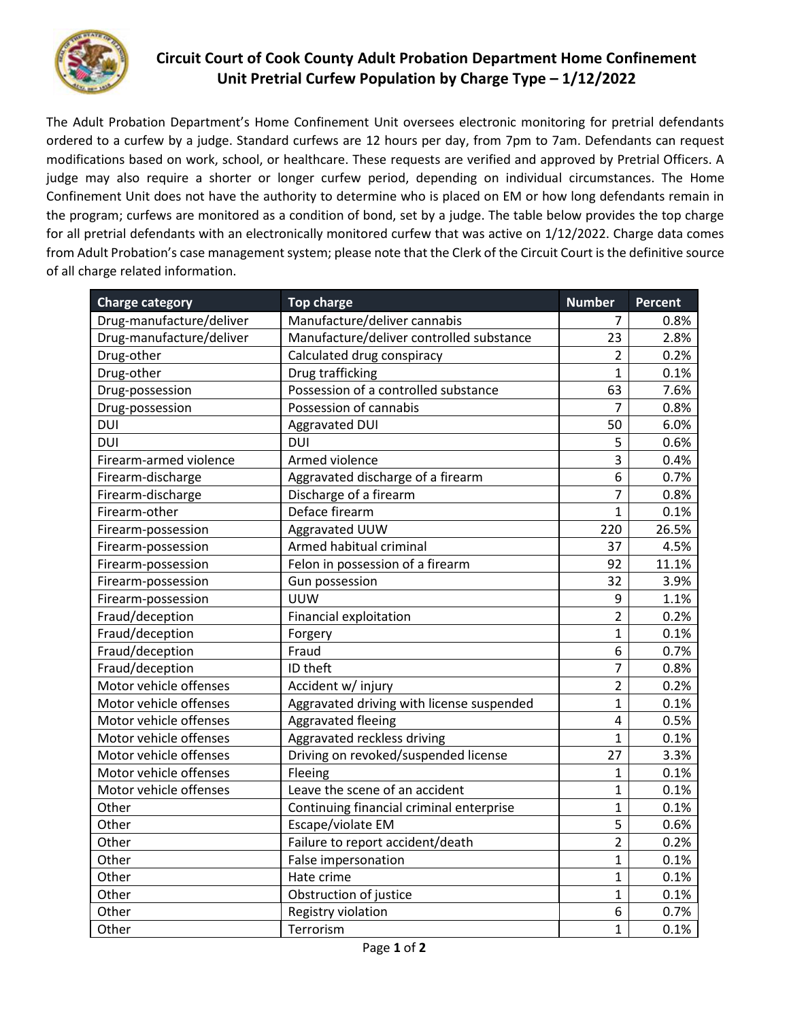

## **Circuit Court of Cook County Adult Probation Department Home Confinement Unit Pretrial Curfew Population by Charge Type – 1/12/2022**

The Adult Probation Department's Home Confinement Unit oversees electronic monitoring for pretrial defendants ordered to a curfew by a judge. Standard curfews are 12 hours per day, from 7pm to 7am. Defendants can request modifications based on work, school, or healthcare. These requests are verified and approved by Pretrial Officers. A judge may also require a shorter or longer curfew period, depending on individual circumstances. The Home Confinement Unit does not have the authority to determine who is placed on EM or how long defendants remain in the program; curfews are monitored as a condition of bond, set by a judge. The table below provides the top charge for all pretrial defendants with an electronically monitored curfew that was active on 1/12/2022. Charge data comes from Adult Probation's case management system; please note that the Clerk of the Circuit Court is the definitive source of all charge related information.

| <b>Charge category</b>   | <b>Top charge</b>                         | <b>Number</b>  | <b>Percent</b> |
|--------------------------|-------------------------------------------|----------------|----------------|
| Drug-manufacture/deliver | Manufacture/deliver cannabis              | 7              | 0.8%           |
| Drug-manufacture/deliver | Manufacture/deliver controlled substance  | 23             | 2.8%           |
| Drug-other               | Calculated drug conspiracy                | $\overline{2}$ | 0.2%           |
| Drug-other               | Drug trafficking                          | $\mathbf{1}$   | 0.1%           |
| Drug-possession          | Possession of a controlled substance      | 63             | 7.6%           |
| Drug-possession          | Possession of cannabis                    | $\overline{7}$ | 0.8%           |
| <b>DUI</b>               | <b>Aggravated DUI</b>                     | 50             | 6.0%           |
| <b>DUI</b>               | <b>DUI</b>                                | 5              | 0.6%           |
| Firearm-armed violence   | Armed violence                            | 3              | 0.4%           |
| Firearm-discharge        | Aggravated discharge of a firearm         | 6              | 0.7%           |
| Firearm-discharge        | Discharge of a firearm                    | $\overline{7}$ | 0.8%           |
| Firearm-other            | Deface firearm                            | $\mathbf{1}$   | 0.1%           |
| Firearm-possession       | Aggravated UUW                            | 220            | 26.5%          |
| Firearm-possession       | Armed habitual criminal                   | 37             | 4.5%           |
| Firearm-possession       | Felon in possession of a firearm          | 92             | 11.1%          |
| Firearm-possession       | Gun possession                            | 32             | 3.9%           |
| Firearm-possession       | <b>UUW</b>                                | 9              | 1.1%           |
| Fraud/deception          | Financial exploitation                    | $\overline{2}$ | 0.2%           |
| Fraud/deception          | Forgery                                   | $\mathbf{1}$   | 0.1%           |
| Fraud/deception          | Fraud                                     | 6              | 0.7%           |
| Fraud/deception          | ID theft                                  | $\overline{7}$ | 0.8%           |
| Motor vehicle offenses   | Accident w/ injury                        | $\overline{2}$ | 0.2%           |
| Motor vehicle offenses   | Aggravated driving with license suspended | $\mathbf{1}$   | 0.1%           |
| Motor vehicle offenses   | Aggravated fleeing                        | $\overline{4}$ | 0.5%           |
| Motor vehicle offenses   | Aggravated reckless driving               | $\mathbf{1}$   | 0.1%           |
| Motor vehicle offenses   | Driving on revoked/suspended license      | 27             | 3.3%           |
| Motor vehicle offenses   | Fleeing                                   | $\mathbf{1}$   | 0.1%           |
| Motor vehicle offenses   | Leave the scene of an accident            | $\mathbf{1}$   | 0.1%           |
| Other                    | Continuing financial criminal enterprise  | $\mathbf{1}$   | 0.1%           |
| Other                    | Escape/violate EM                         | 5              | 0.6%           |
| Other                    | Failure to report accident/death          | $\overline{2}$ | 0.2%           |
| Other                    | False impersonation                       | $\mathbf{1}$   | 0.1%           |
| Other                    | Hate crime                                | $\mathbf{1}$   | 0.1%           |
| Other                    | Obstruction of justice                    | $\mathbf 1$    | 0.1%           |
| Other                    | Registry violation                        | 6              | 0.7%           |
| Other                    | Terrorism                                 | 1              | 0.1%           |